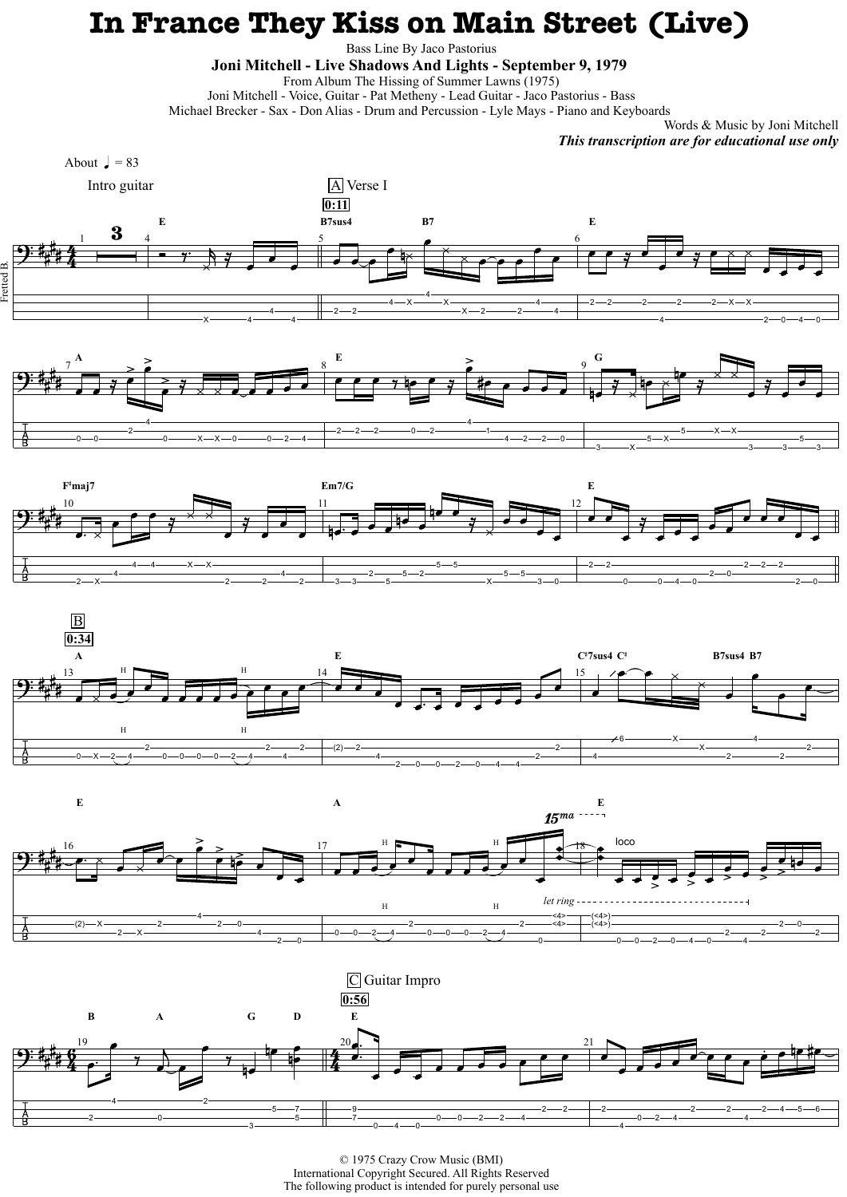## **In France They Kiss on Main Street (Live)**

Bass Line By Jaco Pastorius

**Joni Mitchell - Live Shadows And Lights - September 9, 1979** 

From Album The Hissing of Summer Lawns (1975)

Joni Mitchell - Voice, Guitar - Pat Metheny - Lead Guitar - Jaco Pastorius - Bass

Michael Brecker - Sax - Don Alias - Drum and Percussion - Lyle Mays - Piano and Keyboards

Words & Music by Joni Mitchell *This transcription are for educational use only*

© 1975 Crazy Crow Music (BMI) International Copyright Secured. All Rights Reserved The following product is intended for purely personal use







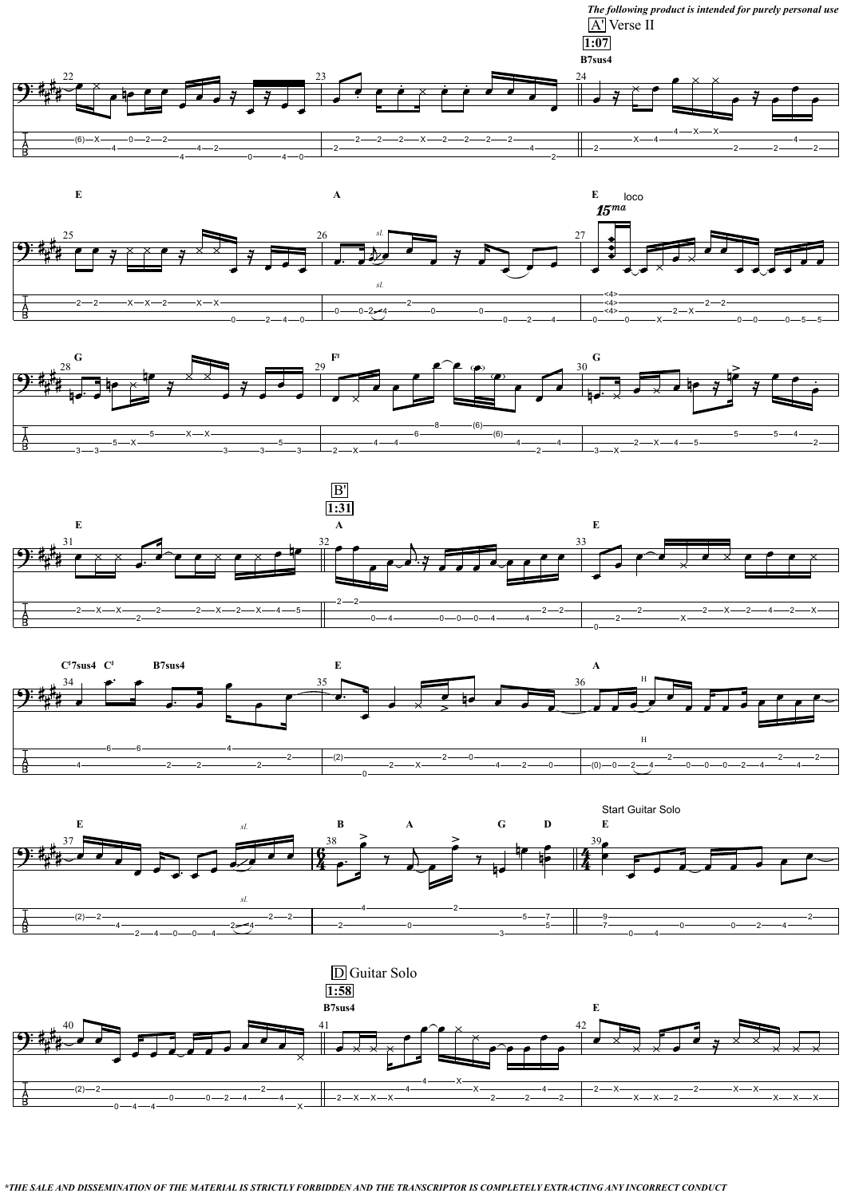

*\*THE SALE AND DISSEMINATION OF THE MATERIAL IS STRICTLY FORBIDDEN AND THE TRANSCRIPTOR IS COMPLETELY EXTRACTING ANY INCORRECT CONDUCT* 











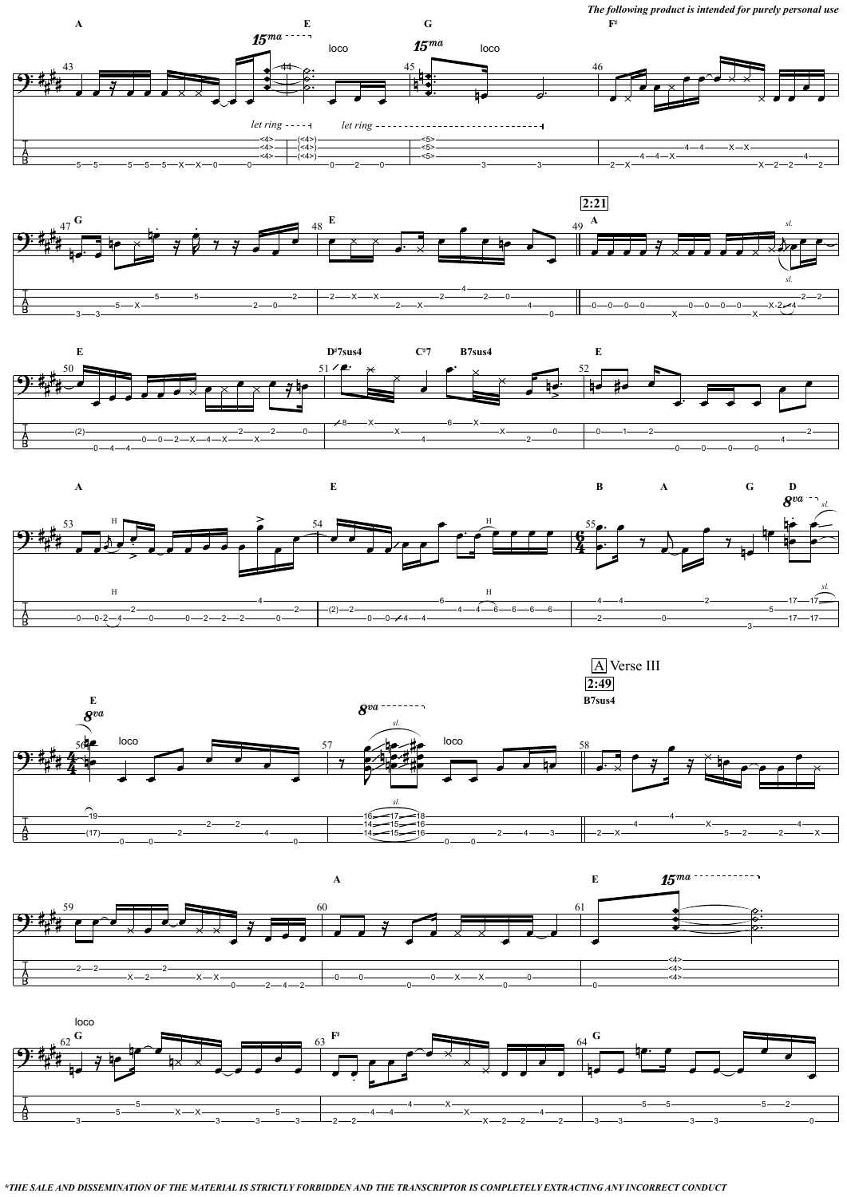*The following product is intended for purely personal use*

*\*THE SALE AND DISSEMINATION OF THE MATERIAL IS STRICTLY FORBIDDEN AND THE TRANSCRIPTOR IS COMPLETELY EXTRACTING ANY INCORRECT CONDUCT*